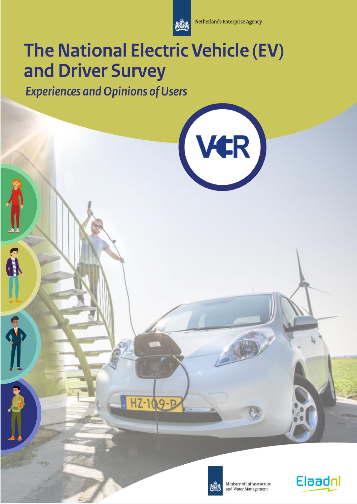

**Netherlands Enterprise Agency** 

VER

# The National Electric Vehicle (EV) and Driver Survey

HZ-109-P

**Experiences and Opinions of Users** 

C. Jumma S



Ministry of Infrastructure and Water Management

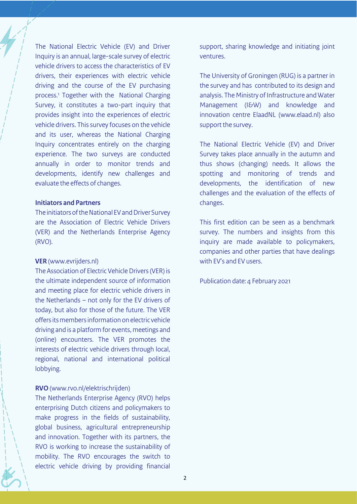The National Electric Vehicle (EV) and Driver Inquiry is an annual, large-scale survey of electric vehicle drivers to access the characteristics of EV drivers, their experiences with electric vehicle driving and the course of the EV purchasing process.<sup>1</sup> Together with the National Charging Survey, it constitutes a two-part inquiry that provides insight into the experiences of electric vehicle drivers. This survey focuses on the vehicle and its user, whereas the National Charging Inquiry concentrates entirely on the charging experience. The two surveys are conducted annually in order to monitor trends and developments, identify new challenges and evaluate the effects of changes.

#### **Initiators and Partners**

The initiators of the National EV and Driver Survey are the Association of Electric Vehicle Drivers (VER) and the Netherlands Enterprise Agency (RVO).

#### **VER** (www.evrijders.nl)

The Association of Electric Vehicle Drivers (VER) is the ultimate independent source of information and meeting place for electric vehicle drivers in the Netherlands – not only for the EV drivers of today, but also for those of the future. The VER offers its members information on electric vehicle driving and is a platform for events, meetings and (online) encounters. The VER promotes the interests of electric vehicle drivers through local, regional, national and international political lobbying.

#### **RVO**(www.rvo.nl/elektrischrijden)

The Netherlands Enterprise Agency (RVO) helps enterprising Dutch citizens and policymakers to make progress in the fields of sustainability, global business, agricultural entrepreneurship and innovation. Together with its partners, the RVO is working to increase the sustainability of mobility. The RVO encourages the switch to electric vehicle driving by providing financial support, sharing knowledge and initiating joint ventures.

The University of Groningen (RUG) is a partner in the survey and has contributed to its design and analysis. The Ministry of Infrastructure and Water Management (I&W) and knowledge and innovation centre ElaadNL (www.elaad.nl) also support the survey.

The National Electric Vehicle (EV) and Driver Survey takes place annually in the autumn and thus shows (changing) needs. It allows the spotting and monitoring of trends and developments, the identification of new challenges and the evaluation of the effects of changes.

This first edition can be seen as a benchmark survey. The numbers and insights from this inquiry are made available to policymakers, companies and other parties that have dealings with EV's and EV users.

Publication date: 4 February 2021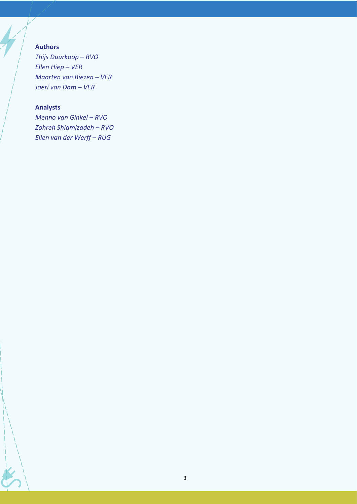#### **Authors**

*Thijs Duurkoop – RVO Ellen Hiep – VER Maarten van Biezen – VER Joeri van Dam – VER*

#### **Analysts**

*Menno van Ginkel – RVO Zohreh Shiamizadeh – RVO Ellen van der Werff – RUG*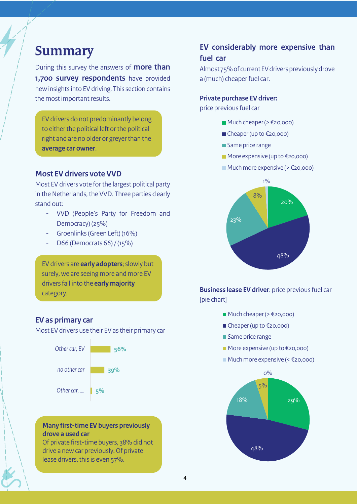### **Summary**

During this survey the answers of **more than 1,700 survey respondents** have provided new insights into EV driving. This section contains the most important results.

EV drivers do not predominantly belong to either the political left or the political right and are no older or greyer than the **average car owner**.

#### **Most EV drivers vote VVD**

Most EV drivers vote for the largest political party in the Netherlands, the VVD. Three parties clearly stand out:

- VVD (People's Party for Freedom and Democracy) (25%)
- Groenlinks (Green Left) (16%)
- D66 (Democrats 66) / (15%)

EV drivers are **early adopters**; slowly but surely, we are seeing more and more EV drivers fall into the **early majority**  category.

#### **EV as primary car**

Most EV drivers use their EV as their primary car



#### **Many first-time EV buyers previously drove a used car**

Of private first-time buyers, 38% did not drive a new car previously. Of private lease drivers, this is even 57%.

### **EV considerably more expensive than fuel car**

Almost 75%of current EV drivers previously drove a (much) cheaper fuel car.

#### **Private purchase EV driver:**

price previous fuel car

- $\blacksquare$  Much cheaper (>  $\epsilon$ 20,000)
- Cheaper (up to €20,000)
- Same price range
- $\blacksquare$  More expensive (up to  $\epsilon$ 20,000)
- $\blacksquare$  Much more expensive ( $\geq$   $\in$  20,000)



**Business lease EV driver**: price previous fuel car [pie chart]

- $\blacksquare$  Much cheaper (>  $\epsilon$ 20,000)
- $\blacksquare$  Cheaper (up to  $\epsilon$ 20,000)
- Same price range
- $\blacksquare$  More expensive (up to  $\epsilon$ 20,000)
- $\blacksquare$  Much more expensive (<  $\epsilon$ 20,000)

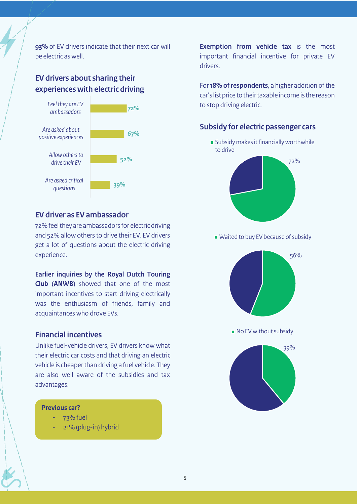**93%** of EV drivers indicate that their next car will be electric as well.

#### **EV drivers about sharing their experiences with electric driving**



#### **EV driver as EV ambassador**

72% feel they are ambassadors for electric driving and 52% allow others to drive their EV. EV drivers get a lot of questions about the electric driving experience.

**Earlier inquiries by the Royal Dutch Touring Club (ANWB)** showed that one of the most important incentives to start driving electrically was the enthusiasm of friends, family and acquaintances who drove EVs.

#### **Financial incentives**

Unlike fuel-vehicle drivers, EV drivers know what their electric car costs and that driving an electric vehicle is cheaper than driving a fuel vehicle. They are also well aware of the subsidies and tax advantages.

#### **Previous car?**

- 73% fuel
- 21% (plug-in) hybrid

**Exemption from vehicle tax** is the most important financial incentive for private EV drivers.

For **18% of respondents**, a higher addition of the car's list price to their taxable income is the reason to stop driving electric.

#### **Subsidy for electric passenger cars**

**Subsidy makes it financially worthwhile** to drive



Waited to buy EV because of subsidy



No EV without subsidy

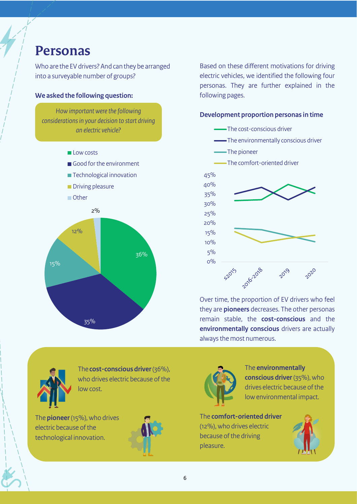### **Personas**

Who are the EV drivers? And can they be arranged into a surveyable number of groups?

#### **We asked the following question:**

*How important were the following considerations in your decision to start driving an electric vehicle?*

- **Low costs**
- Good for the environment
- **Technological innovation**
- **Driving pleasure**

■ Other



Based on these different motivations for driving electric vehicles, we identified the following four personas. They are further explained in the following pages.

#### **Development proportion personas in time**

- -The cost-conscious driver
- The environmentally conscious driver
- The pioneer
- The comfort-oriented driver



Over time, the proportion of EV drivers who feel they are **pioneers** decreases. The other personas remain stable, the **cost-conscious** and the **environmentally conscious** drivers are actually always the most numerous.



The **cost-conscious driver**(36%), who drives electric because of the low cost.

The **pioneer**(15%), who drives electric because of the technological innovation.





The **environmentally conscious driver** (35%), who drives electric because of the low environmental impact.

The **comfort-oriented driver** (12%), who drives electric because of the driving pleasure.

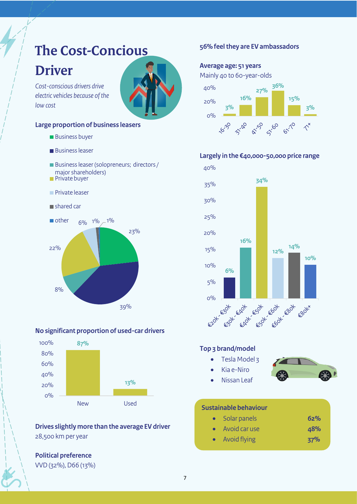### **The Cost-Concious Driver**

*Cost-conscious drivers drive electric vehicles because of the low cost*

#### **Large proportion of business leasers**

- **Business buyer**
- **Business leaser**
- Business leaser (solopreneurs; directors / major shareholders)
- **Private buyer**
- **Private leaser**
- shared car



#### **No significant proportion of used-car drivers**



#### **Drives slightly more than the average EV driver** 28,500 km per year

#### **Political preference**  VVD (32%), D66 (13%)

#### **56% feel they are EV ambassadors**

#### **Average age: 51 years**

Mainly 40 to 60-year-olds



#### **Largely in the €40,000-50,000 price range**



#### **Top 3 brand/model**

- Tesla Model 3 • Kia e-Niro
	-
- Nissan Leaf

#### **Sustainable behaviour**

- Solar panels **62%**
- Avoid car use **48%**
- Avoid flying **37%**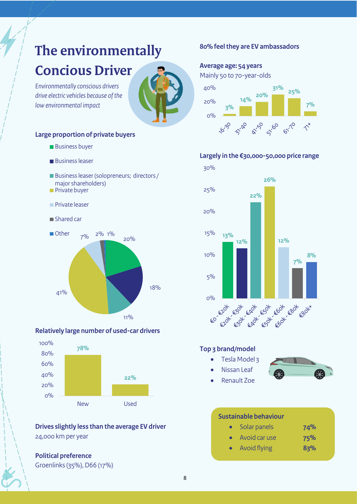# **The environmentally Concious Driver**

*Environmentally conscious drivers drive electric vehicles because of the low environmental impact*



#### **Large proportion of private buyers**

- **Business buyer**
- **Business leaser**
- Business leaser (solopreneurs; directors / major shareholders)
- **Private buyer**
- **Private leaser**
- **Shared car**



#### **Relatively large number of used-car drivers**



#### **Drives slightly less than the average EV driver** 24,000 km per year

#### **Political preference**



Groenlinks (35%), D66 (17%)

#### **80% feel they are EV ambassadors**

#### **Average age: 54 years**

Mainly 50 to 70-year-olds



#### **Largely in the €30,000-50,000 price range**



#### **Top 3 brand/model**

• Tesla Model 3 • Nissan Leaf



• Renault Zoe

#### **Sustainable behaviour**

- Solar panels **74%**
- Avoid car use **75%**
- Avoid flying **83%**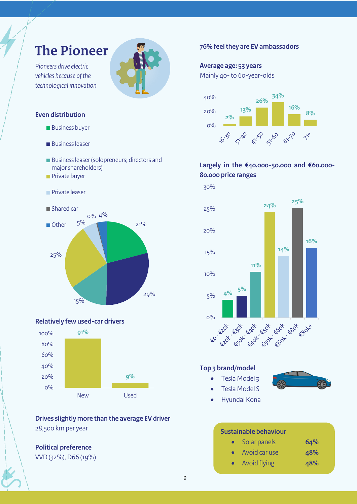## **The Pioneer**

*Pioneers drive electric vehicles because of the technological innovation*

#### **Even distribution**

- **Business buyer**
- **Business leaser**
- Business leaser (solopreneurs; directors and major shareholders)
- **Private buyer**
- **Private leaser**



#### **Relatively few used-car drivers**



**Drives slightly more than the average EV driver** 28,500 km per year

#### **Political preference** VVD (32%), D66 (19%)

#### **76% feel they are EV ambassadors**

#### **Average age: 53 years**

Mainly 40-to 60-year-olds



#### **Largely in the €40.000-50.000 and €60.000- 80.000 price ranges**



#### **Top 3 brand/model**

• Tesla Model 3



• Hyundai Kona

• Tesla Model S

#### **Sustainable behaviour**

| $\bullet$ | Solar panels  | 64% |
|-----------|---------------|-----|
| $\bullet$ | Avoid car use | 48% |

• Avoid flying **48%**